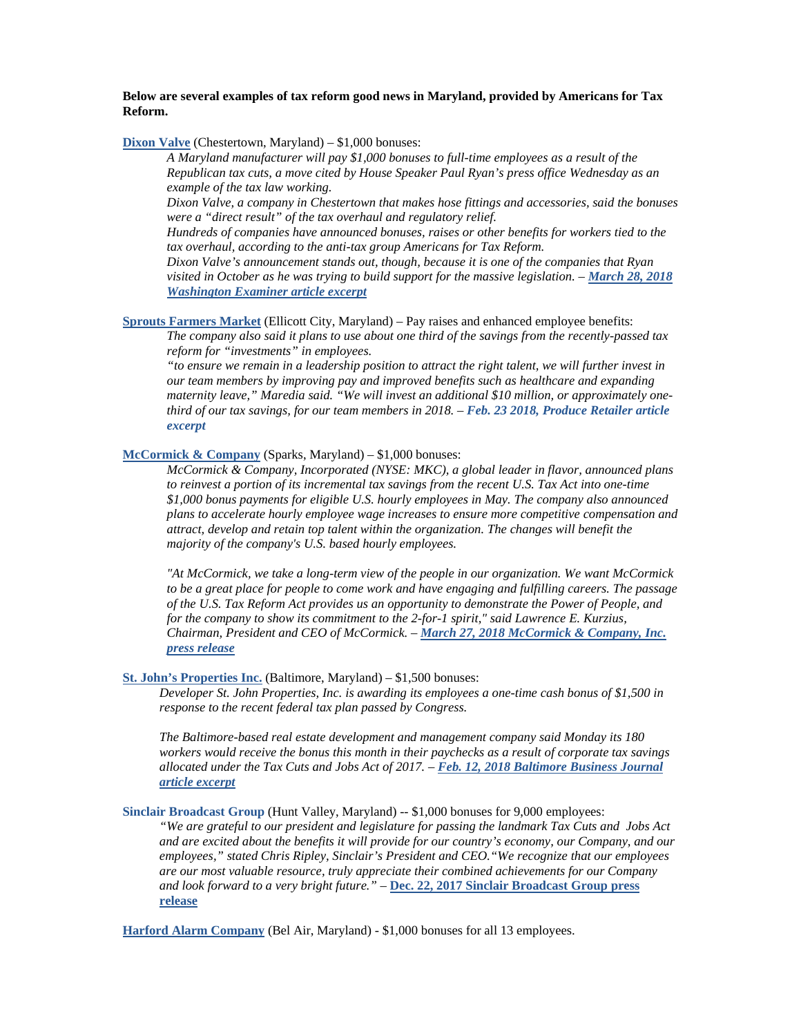## **Below are several examples of tax reform good news in Maryland, provided by Americans for Tax Reform.**

**Dixon Valve** (Chestertown, Maryland) – \$1,000 bonuses:

*A Maryland manufacturer will pay \$1,000 bonuses to full-time employees as a result of the Republican tax cuts, a move cited by House Speaker Paul Ryan's press office Wednesday as an example of the tax law working.*

*Dixon Valve, a company in Chestertown that makes hose fittings and accessories, said the bonuses were a "direct result" of the tax overhaul and regulatory relief.*

*Hundreds of companies have announced bonuses, raises or other benefits for workers tied to the tax overhaul, according to the anti-tax group Americans for Tax Reform.*

*Dixon Valve's announcement stands out, though, because it is one of the companies that Ryan visited in October as he was trying to build support for the massive legislation. – March 28, 2018 Washington Examiner article excerpt*

**Sprouts Farmers Market** (Ellicott City, Maryland) – Pay raises and enhanced employee benefits:

*The company also said it plans to use about one third of the savings from the recently-passed tax reform for "investments" in employees.*

*"to ensure we remain in a leadership position to attract the right talent, we will further invest in our team members by improving pay and improved benefits such as healthcare and expanding maternity leave," Maredia said. "We will invest an additional \$10 million, or approximately onethird of our tax savings, for our team members in 2018. – Feb. 23 2018, Produce Retailer article excerpt*

## **McCormick & Company** (Sparks, Maryland) – \$1,000 bonuses:

*McCormick & Company, Incorporated (NYSE: MKC), a global leader in flavor, announced plans to reinvest a portion of its incremental tax savings from the recent U.S. Tax Act into one-time \$1,000 bonus payments for eligible U.S. hourly employees in May. The company also announced plans to accelerate hourly employee wage increases to ensure more competitive compensation and attract, develop and retain top talent within the organization. The changes will benefit the majority of the company's U.S. based hourly employees.*

*"At McCormick, we take a long-term view of the people in our organization. We want McCormick to be a great place for people to come work and have engaging and fulfilling careers. The passage of the U.S. Tax Reform Act provides us an opportunity to demonstrate the Power of People, and for the company to show its commitment to the 2-for-1 spirit," said Lawrence E. Kurzius, Chairman, President and CEO of McCormick. – March 27, 2018 McCormick & Company, Inc. press release*

**St. John's Properties Inc.** (Baltimore, Maryland) – \$1,500 bonuses:

*Developer St. John Properties, Inc. is awarding its employees a one-time cash bonus of \$1,500 in response to the recent federal tax plan passed by Congress.*

*The Baltimore-based real estate development and management company said Monday its 180 workers would receive the bonus this month in their paychecks as a result of corporate tax savings allocated under the Tax Cuts and Jobs Act of 2017. – Feb. 12, 2018 Baltimore Business Journal article excerpt*

**Sinclair Broadcast Group** (Hunt Valley, Maryland) -- \$1,000 bonuses for 9,000 employees:

*"We are grateful to our president and legislature for passing the landmark Tax Cuts and Jobs Act and are excited about the benefits it will provide for our country's economy, our Company, and our employees," stated Chris Ripley, Sinclair's President and CEO."We recognize that our employees are our most valuable resource, truly appreciate their combined achievements for our Company and look forward to a very bright future."* – **Dec. 22, 2017 Sinclair Broadcast Group press release**

**Harford Alarm Company** (Bel Air, Maryland) - \$1,000 bonuses for all 13 employees.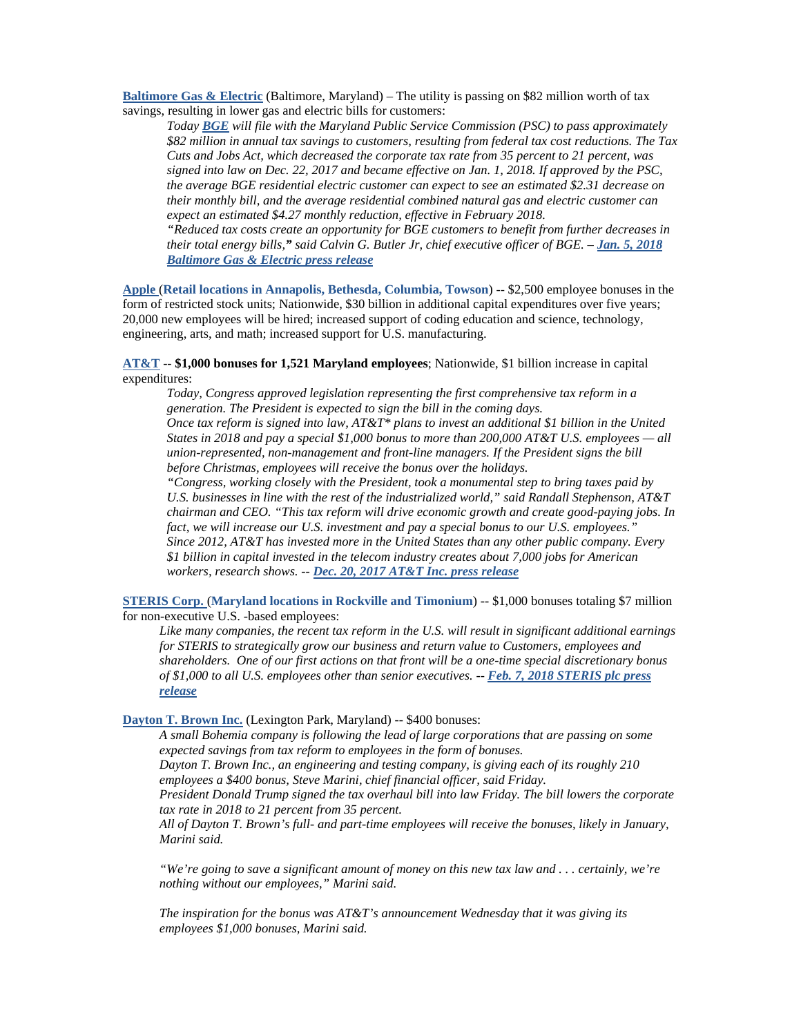**Baltimore Gas & Electric** (Baltimore, Maryland) – The utility is passing on \$82 million worth of tax savings, resulting in lower gas and electric bills for customers:

*Today BGE will file with the Maryland Public Service Commission (PSC) to pass approximately \$82 million in annual tax savings to customers, resulting from federal tax cost reductions. The Tax Cuts and Jobs Act, which decreased the corporate tax rate from 35 percent to 21 percent, was signed into law on Dec. 22, 2017 and became effective on Jan. 1, 2018. If approved by the PSC, the average BGE residential electric customer can expect to see an estimated \$2.31 decrease on their monthly bill, and the average residential combined natural gas and electric customer can expect an estimated \$4.27 monthly reduction, effective in February 2018.*

*"Reduced tax costs create an opportunity for BGE customers to benefit from further decreases in their total energy bills," said Calvin G. Butler Jr, chief executive officer of BGE. – Jan. 5, 2018 Baltimore Gas & Electric press release*

**Apple** (**Retail locations in Annapolis, Bethesda, Columbia, Towson**) -- \$2,500 employee bonuses in the form of restricted stock units; Nationwide, \$30 billion in additional capital expenditures over five years; 20,000 new employees will be hired; increased support of coding education and science, technology, engineering, arts, and math; increased support for U.S. manufacturing.

**AT&T** -- **\$1,000 bonuses for 1,521 Maryland employees**; Nationwide, \$1 billion increase in capital expenditures:

*Today, Congress approved legislation representing the first comprehensive tax reform in a generation. The President is expected to sign the bill in the coming days. Once tax reform is signed into law, AT&T\* plans to invest an additional \$1 billion in the United States in 2018 and pay a special \$1,000 bonus to more than 200,000 AT&T U.S. employees — all union-represented, non-management and front-line managers. If the President signs the bill before Christmas, employees will receive the bonus over the holidays.*

*"Congress, working closely with the President, took a monumental step to bring taxes paid by U.S. businesses in line with the rest of the industrialized world," said Randall Stephenson, AT&T chairman and CEO. "This tax reform will drive economic growth and create good-paying jobs. In fact, we will increase our U.S. investment and pay a special bonus to our U.S. employees." Since 2012, AT&T has invested more in the United States than any other public company. Every \$1 billion in capital invested in the telecom industry creates about 7,000 jobs for American workers, research shows. -- Dec. 20, 2017 AT&T Inc. press release*

**STERIS Corp.** (**Maryland locations in Rockville and Timonium**) -- \$1,000 bonuses totaling \$7 million for non-executive U.S. -based employees:

*Like many companies, the recent tax reform in the U.S. will result in significant additional earnings for STERIS to strategically grow our business and return value to Customers, employees and shareholders. One of our first actions on that front will be a one-time special discretionary bonus of \$1,000 to all U.S. employees other than senior executives. -- Feb. 7, 2018 STERIS plc press release*

**Dayton T. Brown Inc.** (Lexington Park, Maryland) -- \$400 bonuses:

*A small Bohemia company is following the lead of large corporations that are passing on some expected savings from tax reform to employees in the form of bonuses.*

*Dayton T. Brown Inc., an engineering and testing company, is giving each of its roughly 210 employees a \$400 bonus, Steve Marini, chief financial officer, said Friday.*

*President Donald Trump signed the tax overhaul bill into law Friday. The bill lowers the corporate tax rate in 2018 to 21 percent from 35 percent.*

*All of Dayton T. Brown's full- and part-time employees will receive the bonuses, likely in January, Marini said.*

*"We're going to save a significant amount of money on this new tax law and . . . certainly, we're nothing without our employees," Marini said.*

*The inspiration for the bonus was AT&T's announcement Wednesday that it was giving its employees \$1,000 bonuses, Marini said.*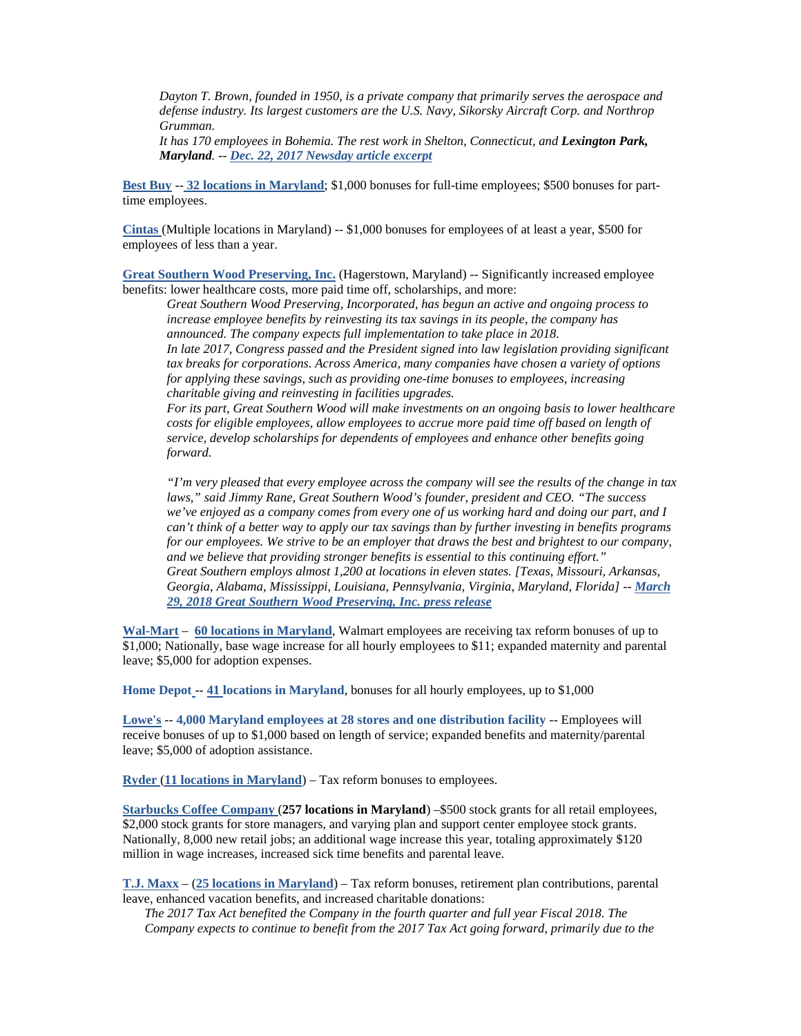*Dayton T. Brown, founded in 1950, is a private company that primarily serves the aerospace and defense industry. Its largest customers are the U.S. Navy, Sikorsky Aircraft Corp. and Northrop Grumman.*

It has 170 employees in Bohemia. The rest work in Shelton, Connecticut, and Lexington Park, *Maryland. -- Dec. 22, 2017 Newsday article excerpt*

**Best Buy** -- **32 locations in Maryland**; \$1,000 bonuses for full-time employees; \$500 bonuses for parttime employees.

**Cintas** (Multiple locations in Maryland) -- \$1,000 bonuses for employees of at least a year, \$500 for employees of less than a year.

**Great Southern Wood Preserving, Inc.** (Hagerstown, Maryland) -- Significantly increased employee benefits: lower healthcare costs, more paid time off, scholarships, and more:

*Great Southern Wood Preserving, Incorporated, has begun an active and ongoing process to increase employee benefits by reinvesting its tax savings in its people, the company has announced. The company expects full implementation to take place in 2018. In late 2017, Congress passed and the President signed into law legislation providing significant tax breaks for corporations. Across America, many companies have chosen a variety of options for applying these savings, such as providing one-time bonuses to employees, increasing charitable giving and reinvesting in facilities upgrades.*

*For its part, Great Southern Wood will make investments on an ongoing basis to lower healthcare costs for eligible employees, allow employees to accrue more paid time off based on length of service, develop scholarships for dependents of employees and enhance other benefits going forward.*

*"I'm very pleased that every employee across the company will see the results of the change in tax laws," said Jimmy Rane, Great Southern Wood's founder, president and CEO. "The success we've enjoyed as a company comes from every one of us working hard and doing our part, and I can't think of a better way to apply our tax savings than by further investing in benefits programs for our employees. We strive to be an employer that draws the best and brightest to our company, and we believe that providing stronger benefits is essential to this continuing effort." Great Southern employs almost 1,200 at locations in eleven states. [Texas, Missouri, Arkansas, Georgia, Alabama, Mississippi, Louisiana, Pennsylvania, Virginia, Maryland, Florida] -- March 29, 2018 Great Southern Wood Preserving, Inc. press release*

**Wal-Mart** – **60 locations in Maryland**, Walmart employees are receiving tax reform bonuses of up to \$1,000; Nationally, base wage increase for all hourly employees to \$11; expanded maternity and parental leave; \$5,000 for adoption expenses.

**Home Depot** -- **41 locations in Maryland**, bonuses for all hourly employees, up to \$1,000

**Lowe's** -- **4,000 Maryland employees at 28 stores and one distribution facility** -- Employees will receive bonuses of up to \$1,000 based on length of service; expanded benefits and maternity/parental leave; \$5,000 of adoption assistance.

**Ryder** (**11 locations in Maryland**) – Tax reform bonuses to employees.

**Starbucks Coffee Company** (**257 locations in Maryland**) –\$500 stock grants for all retail employees, \$2,000 stock grants for store managers, and varying plan and support center employee stock grants. Nationally, 8,000 new retail jobs; an additional wage increase this year, totaling approximately \$120 million in wage increases, increased sick time benefits and parental leave.

**T.J. Maxx** – (**25 locations in Maryland**) – Tax reform bonuses, retirement plan contributions, parental leave, enhanced vacation benefits, and increased charitable donations:

*The 2017 Tax Act benefited the Company in the fourth quarter and full year Fiscal 2018. The Company expects to continue to benefit from the 2017 Tax Act going forward, primarily due to the*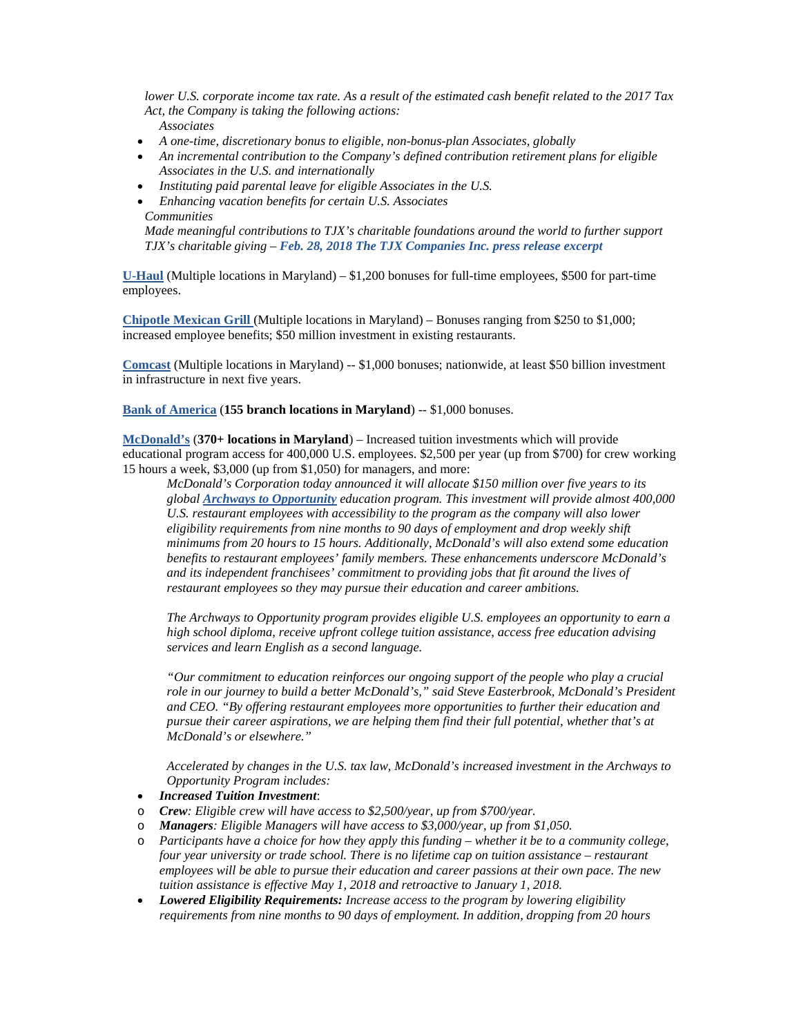*lower U.S. corporate income tax rate. As a result of the estimated cash benefit related to the 2017 Tax Act, the Company is taking the following actions:*

*Associates*

- *A one-time, discretionary bonus to eligible, non-bonus-plan Associates, globally*
- *An incremental contribution to the Company's defined contribution retirement plans for eligible Associates in the U.S. and internationally*
- *Instituting paid parental leave for eligible Associates in the U.S.*
- *Enhancing vacation benefits for certain U.S. Associates*

*Communities*

*Made meaningful contributions to TJX's charitable foundations around the world to further support TJX's charitable giving – Feb. 28, 2018 The TJX Companies Inc. press release excerpt*

**U-Haul** (Multiple locations in Maryland) – \$1,200 bonuses for full-time employees, \$500 for part-time employees.

**Chipotle Mexican Grill** (Multiple locations in Maryland) – Bonuses ranging from \$250 to \$1,000; increased employee benefits; \$50 million investment in existing restaurants.

**Comcast** (Multiple locations in Maryland) -- \$1,000 bonuses; nationwide, at least \$50 billion investment in infrastructure in next five years.

**Bank of America** (**155 branch locations in Maryland**) -- \$1,000 bonuses.

**McDonald's** (**370+ locations in Maryland**) – Increased tuition investments which will provide educational program access for 400,000 U.S. employees. \$2,500 per year (up from \$700) for crew working 15 hours a week, \$3,000 (up from \$1,050) for managers, and more:

*McDonald's Corporation today announced it will allocate \$150 million over five years to its global Archways to Opportunity education program. This investment will provide almost 400,000 U.S. restaurant employees with accessibility to the program as the company will also lower eligibility requirements from nine months to 90 days of employment and drop weekly shift minimums from 20 hours to 15 hours. Additionally, McDonald's will also extend some education benefits to restaurant employees' family members. These enhancements underscore McDonald's and its independent franchisees' commitment to providing jobs that fit around the lives of restaurant employees so they may pursue their education and career ambitions.*

*The Archways to Opportunity program provides eligible U.S. employees an opportunity to earn a high school diploma, receive upfront college tuition assistance, access free education advising services and learn English as a second language.* 

*"Our commitment to education reinforces our ongoing support of the people who play a crucial role in our journey to build a better McDonald's," said Steve Easterbrook, McDonald's President and CEO. "By offering restaurant employees more opportunities to further their education and pursue their career aspirations, we are helping them find their full potential, whether that's at McDonald's or elsewhere."*

*Accelerated by changes in the U.S. tax law, McDonald's increased investment in the Archways to Opportunity Program includes:*

## *Increased Tuition Investment*:

- o *Crew: Eligible crew will have access to \$2,500/year, up from \$700/year.*
- o *Managers: Eligible Managers will have access to \$3,000/year, up from \$1,050.*
- o *Participants have a choice for how they apply this funding whether it be to a community college, four year university or trade school. There is no lifetime cap on tuition assistance – restaurant employees will be able to pursue their education and career passions at their own pace. The new tuition assistance is effective May 1, 2018 and retroactive to January 1, 2018.*
- *Lowered Eligibility Requirements: Increase access to the program by lowering eligibility requirements from nine months to 90 days of employment. In addition, dropping from 20 hours*